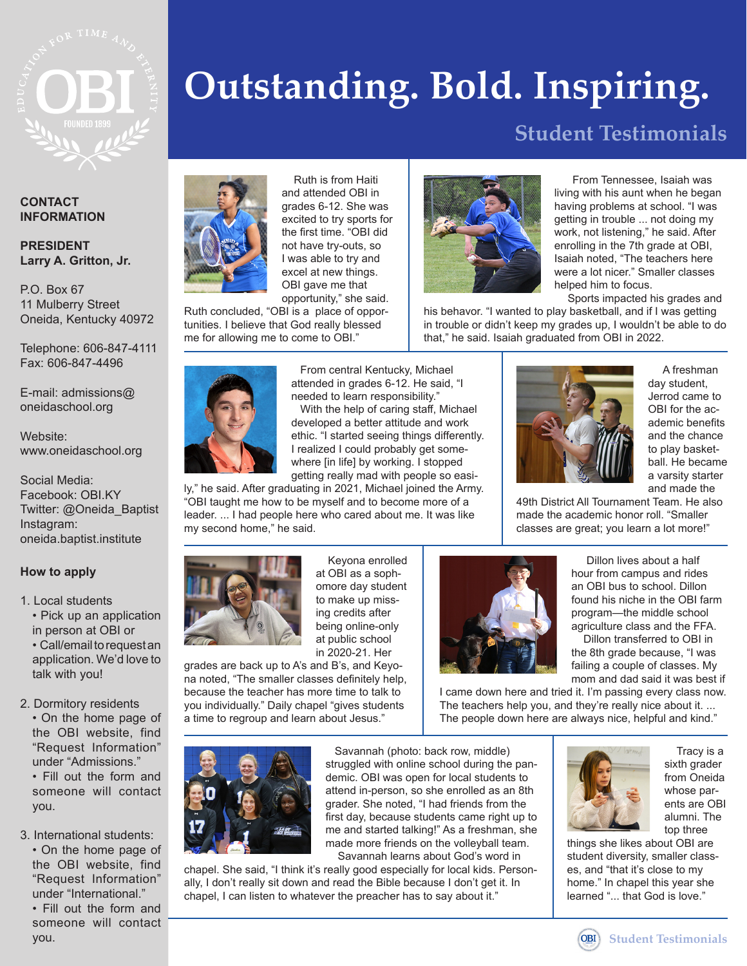

#### **CONTACT INFORMATION**

#### **PRESIDENT Larry A. Gritton, Jr.**

P.O. Box 67 11 Mulberry Street Oneida, Kentucky 40972

Telephone: 606-847-4111 Fax: 606-847-4496

E-mail: admissions@ oneidaschool.org

Website: www.oneidaschool.org

Social Media: Facebook: OBI.KY Twitter: @Oneida\_Baptist Instagram: oneida.baptist.institute

#### **How to apply**

1. Local students • Pick up an application in person at OBI or • Call/email to request an application. We'd love to talk with you!

2. Dormitory residents

• On the home page of the OBI website, find "Request Information" under "Admissions." • Fill out the form and

someone will contact you.

3. International students: • On the home page of

the OBI website, find "Request Information" under "International." • Fill out the form and

someone will contact you. **Student Testimonials**

# **Outstanding. Bold. Inspiring.**

# **Student Testimonials**



 Ruth is from Haiti and attended OBI in grades 6-12. She was excited to try sports for the first time. "OBI did not have try-outs, so I was able to try and excel at new things. OBI gave me that opportunity," she said.

Ruth concluded, "OBI is a place of opportunities. I believe that God really blessed me for allowing me to come to OBI."

> From central Kentucky, Michael attended in grades 6-12. He said, "I needed to learn responsibility."

 With the help of caring staff, Michael developed a better attitude and work ethic. "I started seeing things differently. I realized I could probably get somewhere [in life] by working. I stopped getting really mad with people so easi-

ly," he said. After graduating in 2021, Michael joined the Army. "OBI taught me how to be myself and to become more of a leader. ... I had people here who cared about me. It was like my second home," he said.



 Keyona enrolled at OBI as a sophomore day student to make up missing credits after being online-only at public school in 2020-21. Her

grades are back up to A's and B's, and Keyona noted, "The smaller classes definitely help, because the teacher has more time to talk to you individually." Daily chapel "gives students a time to regroup and learn about Jesus."



 Savannah (photo: back row, middle) struggled with online school during the pandemic. OBI was open for local students to attend in-person, so she enrolled as an 8th grader. She noted, "I had friends from the first day, because students came right up to me and started talking!" As a freshman, she made more friends on the volleyball team. Savannah learns about God's word in

chapel. She said, "I think it's really good especially for local kids. Personally, I don't really sit down and read the Bible because I don't get it. In chapel, I can listen to whatever the preacher has to say about it."



 From Tennessee, Isaiah was living with his aunt when he began having problems at school. "I was getting in trouble ... not doing my work, not listening," he said. After enrolling in the 7th grade at OBI, Isaiah noted, "The teachers here were a lot nicer." Smaller classes helped him to focus.

Sports impacted his grades and

his behavor. "I wanted to play basketball, and if I was getting in trouble or didn't keep my grades up, I wouldn't be able to do that," he said. Isaiah graduated from OBI in 2022.



 A freshman day student, Jerrod came to OBI for the academic benefits and the chance to play basketball. He became a varsity starter and made the

49th District All Tournament Team. He also made the academic honor roll. "Smaller classes are great; you learn a lot more!"

> Dillon lives about a half hour from campus and rides an OBI bus to school. Dillon found his niche in the OBI farm program—the middle school agriculture class and the FFA. Dillon transferred to OBI in the 8th grade because, "I was failing a couple of classes. My



mom and dad said it was best if I came down here and tried it. I'm passing every class now. The teachers help you, and they're really nice about it. ... The people down here are always nice, helpful and kind."



 Tracy is a sixth grader from Oneida whose parents are OBI alumni. The top three

things she likes about OBI are student diversity, smaller classes, and "that it's close to my home." In chapel this year she learned "... that God is love."